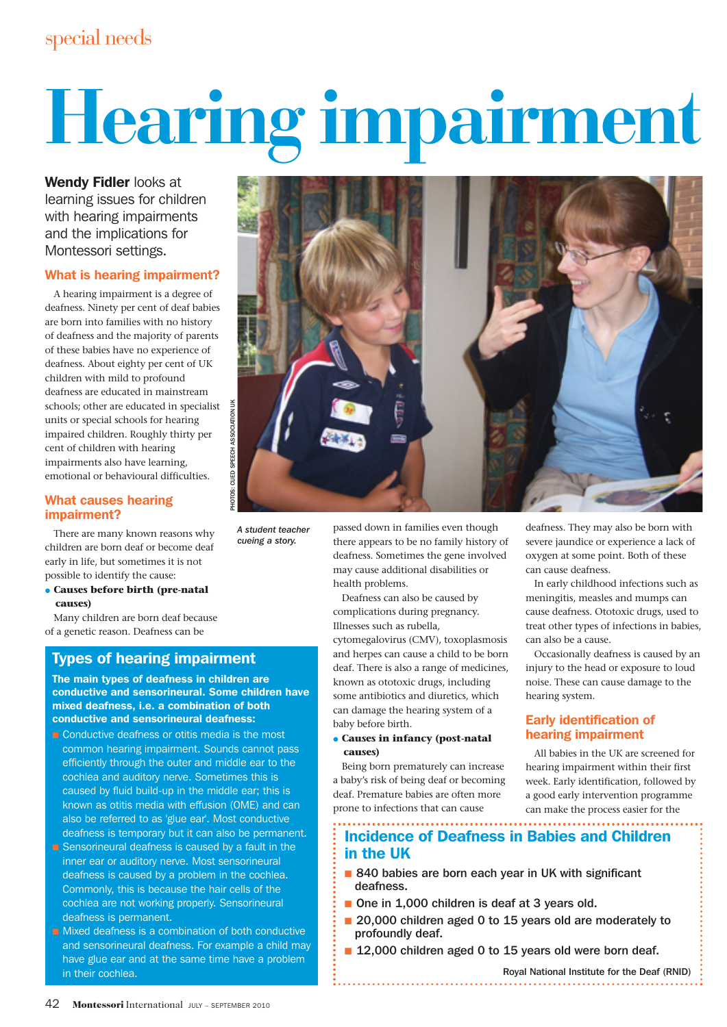# **Hearing impairment**

Wendy Fidler looks at learning issues for children with hearing impairments and the implications for Montessori settings.

## What is hearing impairment?

A hearing impairment is a degree of deafness. Ninety per cent of deaf babies are born into families with no history of deafness and the majority of parents of these babies have no experience of deafness. About eighty per cent of UK children with mild to profound deafness are educated in mainstream schools; other are educated in specialist units or special schools for hearing impaired children. Roughly thirty per cent of children with hearing impairments also have learning, emotional or behavioural difficulties.

## What causes hearing impairment?

There are many known reasons why children are born deaf or become deaf early in life, but sometimes it is not possible to identify the cause:

 **Causes before birth (pre-natal causes)**

Many children are born deaf because of a genetic reason. Deafness can be

# Types of hearing impairment

The main types of deafness in children are conductive and sensorineural. Some children have mixed deafness, i.e. a combination of both conductive and sensorineural deafness:

- Conductive deafness or otitis media is the most common hearing impairment. Sounds cannot pass efficiently through the outer and middle ear to the cochlea and auditory nerve. Sometimes this is caused by fluid build-up in the middle ear; this is known as otitis media with effusion (OME) and can also be referred to as 'glue ear'. Most conductive deafness is temporary but it can also be permanent.
- Sensorineural deafness is caused by a fault in the inner ear or auditory nerve. Most sensorineural deafness is caused by a problem in the cochlea. Commonly, this is because the hair cells of the cochlea are not working properly. Sensorineural deafness is permanent.
- Mixed deafness is a combination of both conductive and sensorineural deafness. For example a child may have glue ear and at the same time have a problem in their cochlea.



*A student teacher cueing a story.*

passed down in families even though there appears to be no family history of deafness. Sometimes the gene involved may cause additional disabilities or health problems.

Deafness can also be caused by complications during pregnancy. Illnesses such as rubella,

cytomegalovirus (CMV), toxoplasmosis and herpes can cause a child to be born deaf. There is also a range of medicines, known as ototoxic drugs, including some antibiotics and diuretics, which can damage the hearing system of a baby before birth.

## **Causes in infancy (post-natal causes)**

Being born prematurely can increase a baby's risk of being deaf or becoming deaf. Premature babies are often more prone to infections that can cause

. . . . . . . . . . . . . . . . . . . Incidence of Deafness in Babies and Children in the UK

- 840 babies are born each year in UK with significant deafness.
- One in 1,000 children is deaf at 3 years old.
- 20,000 children aged 0 to 15 years old are moderately to profoundly deaf.
- 12,000 children aged 0 to 15 years old were born deaf.

Royal National Institute for the Deaf (RNID) 

severe jaundice or experience a lack of oxygen at some point. Both of these

In early childhood infections such as meningitis, measles and mumps can cause deafness. Ototoxic drugs, used to treat other types of infections in babies,

Occasionally deafness is caused by an injury to the head or exposure to loud noise. These can cause damage to the

All babies in the UK are screened for hearing impairment within their first week. Early identification, followed by a good early intervention programme can make the process easier for the

can cause deafness.

can also be a cause.

hearing system.

Early identification of hearing impairment